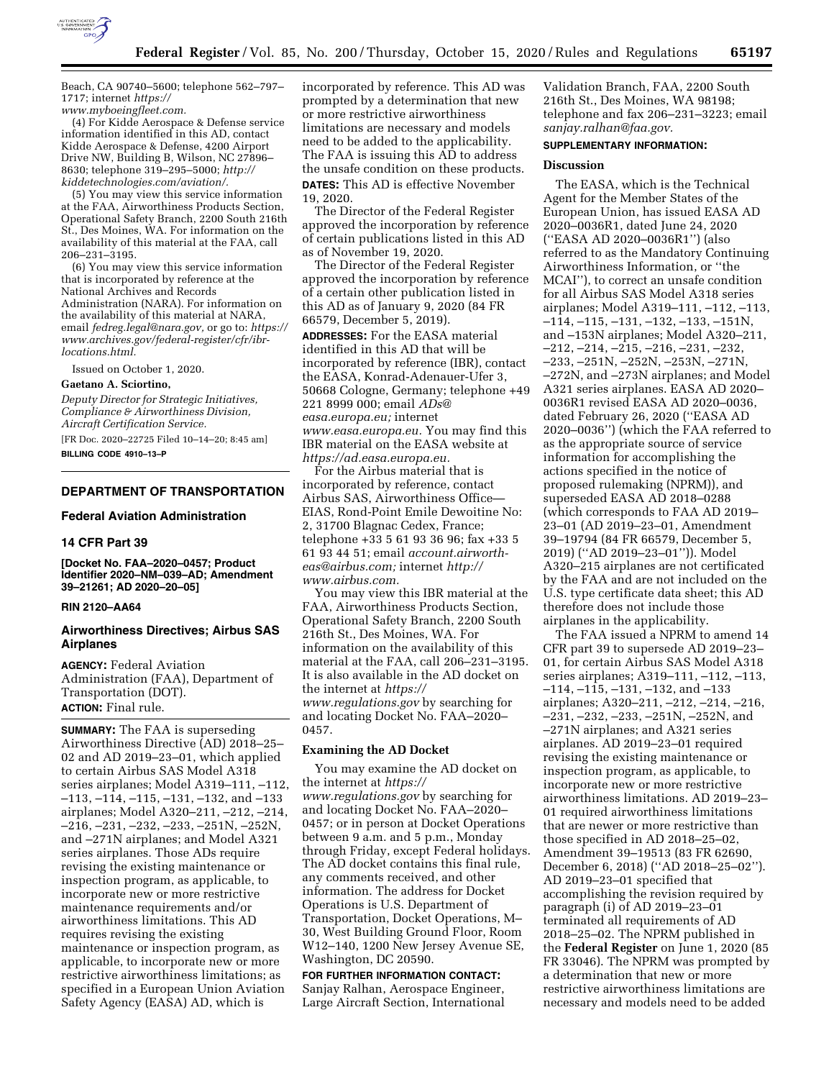

Beach, CA 90740–5600; telephone 562–797– 1717; internet *[https://](https://www.myboeingfleet.com) [www.myboeingfleet.com.](https://www.myboeingfleet.com)* 

(4) For Kidde Aerospace & Defense service information identified in this AD, contact Kidde Aerospace & Defense, 4200 Airport Drive NW, Building B, Wilson, NC 27896– 8630; telephone 319–295–5000; *[http://](http://kiddetechnologies.com/aviation/) [kiddetechnologies.com/aviation/.](http://kiddetechnologies.com/aviation/)* 

(5) You may view this service information at the FAA, Airworthiness Products Section, Operational Safety Branch, 2200 South 216th St., Des Moines, WA. For information on the availability of this material at the FAA, call 206–231–3195.

(6) You may view this service information that is incorporated by reference at the National Archives and Records Administration (NARA). For information on the availability of this material at NARA, email *[fedreg.legal@nara.gov,](mailto:fedreg.legal@nara.gov)* or go to: *[https://](https://www.archives.gov/federal-register/cfr/ibr-locations.html) [www.archives.gov/federal-register/cfr/ibr](https://www.archives.gov/federal-register/cfr/ibr-locations.html)[locations.html.](https://www.archives.gov/federal-register/cfr/ibr-locations.html)* 

Issued on October 1, 2020.

#### **Gaetano A. Sciortino,**

*Deputy Director for Strategic Initiatives, Compliance & Airworthiness Division, Aircraft Certification Service.* 

[FR Doc. 2020–22725 Filed 10–14–20; 8:45 am] **BILLING CODE 4910–13–P** 

#### **DEPARTMENT OF TRANSPORTATION**

## **Federal Aviation Administration**

## **14 CFR Part 39**

**[Docket No. FAA–2020–0457; Product Identifier 2020–NM–039–AD; Amendment 39–21261; AD 2020–20–05]** 

# **RIN 2120–AA64**

## **Airworthiness Directives; Airbus SAS Airplanes**

**AGENCY:** Federal Aviation Administration (FAA), Department of Transportation (DOT). **ACTION:** Final rule.

**SUMMARY:** The FAA is superseding Airworthiness Directive (AD) 2018–25– 02 and AD 2019–23–01, which applied to certain Airbus SAS Model A318 series airplanes; Model A319–111, –112, –113, –114, –115, –131, –132, and –133 airplanes; Model A320–211, –212, –214, –216, –231, –232, –233, –251N, –252N, and –271N airplanes; and Model A321 series airplanes. Those ADs require revising the existing maintenance or inspection program, as applicable, to incorporate new or more restrictive maintenance requirements and/or airworthiness limitations. This AD requires revising the existing maintenance or inspection program, as applicable, to incorporate new or more restrictive airworthiness limitations; as specified in a European Union Aviation Safety Agency (EASA) AD, which is

incorporated by reference. This AD was prompted by a determination that new or more restrictive airworthiness limitations are necessary and models need to be added to the applicability. The FAA is issuing this AD to address the unsafe condition on these products. **DATES:** This AD is effective November 19, 2020.

The Director of the Federal Register approved the incorporation by reference of certain publications listed in this AD as of November 19, 2020.

The Director of the Federal Register approved the incorporation by reference of a certain other publication listed in this AD as of January 9, 2020 (84 FR 66579, December 5, 2019).

**ADDRESSES:** For the EASA material identified in this AD that will be incorporated by reference (IBR), contact the EASA, Konrad-Adenauer-Ufer 3, 50668 Cologne, Germany; telephone +49 221 8999 000; email *[ADs@](mailto:ADs@easa.europa.eu) [easa.europa.eu;](mailto:ADs@easa.europa.eu)* internet *[www.easa.europa.eu.](http://www.easa.europa.eu)* You may find this IBR material on the EASA website at *[https://ad.easa.europa.eu.](https://ad.easa.europa.eu)* 

For the Airbus material that is incorporated by reference, contact Airbus SAS, Airworthiness Office— EIAS, Rond-Point Emile Dewoitine No: 2, 31700 Blagnac Cedex, France; telephone +33 5 61 93 36 96; fax +33 5 61 93 44 51; email *[account.airworth](mailto:account.airworth-eas@airbus.com)[eas@airbus.com;](mailto:account.airworth-eas@airbus.com)* internet *[http://](http://www.airbus.com) [www.airbus.com.](http://www.airbus.com)* 

You may view this IBR material at the FAA, Airworthiness Products Section, Operational Safety Branch, 2200 South 216th St., Des Moines, WA. For information on the availability of this material at the FAA, call 206–231–3195. It is also available in the AD docket on the internet at *[https://](https://www.regulations.gov) [www.regulations.gov](https://www.regulations.gov)* by searching for and locating Docket No. FAA–2020– 0457.

#### **Examining the AD Docket**

You may examine the AD docket on the internet at *[https://](https://www.regulations.gov) [www.regulations.gov](https://www.regulations.gov)* by searching for and locating Docket No. FAA–2020– 0457; or in person at Docket Operations between 9 a.m. and 5 p.m., Monday through Friday, except Federal holidays. The AD docket contains this final rule, any comments received, and other information. The address for Docket Operations is U.S. Department of Transportation, Docket Operations, M– 30, West Building Ground Floor, Room W12–140, 1200 New Jersey Avenue SE, Washington, DC 20590.

# **FOR FURTHER INFORMATION CONTACT:**  Sanjay Ralhan, Aerospace Engineer, Large Aircraft Section, International

Validation Branch, FAA, 2200 South 216th St., Des Moines, WA 98198; telephone and fax 206–231–3223; email *[sanjay.ralhan@faa.gov.](mailto:sanjay.ralhan@faa.gov)* 

# **SUPPLEMENTARY INFORMATION:**

# **Discussion**

The EASA, which is the Technical Agent for the Member States of the European Union, has issued EASA AD 2020–0036R1, dated June 24, 2020 (''EASA AD 2020–0036R1'') (also referred to as the Mandatory Continuing Airworthiness Information, or ''the MCAI''), to correct an unsafe condition for all Airbus SAS Model A318 series airplanes; Model A319–111, –112, –113, –114, –115, –131, –132, –133, –151N, and –153N airplanes; Model A320–211, –212, –214, –215, –216, –231, –232, –233, –251N, –252N, –253N, –271N, –272N, and –273N airplanes; and Model A321 series airplanes. EASA AD 2020– 0036R1 revised EASA AD 2020–0036, dated February 26, 2020 (''EASA AD 2020–0036'') (which the FAA referred to as the appropriate source of service information for accomplishing the actions specified in the notice of proposed rulemaking (NPRM)), and superseded EASA AD 2018–0288 (which corresponds to FAA AD 2019– 23–01 (AD 2019–23–01, Amendment 39–19794 (84 FR 66579, December 5, 2019) (''AD 2019–23–01'')). Model A320–215 airplanes are not certificated by the FAA and are not included on the U.S. type certificate data sheet; this AD therefore does not include those airplanes in the applicability.

The FAA issued a NPRM to amend 14 CFR part 39 to supersede AD 2019–23– 01, for certain Airbus SAS Model A318 series airplanes; A319–111, –112, –113, –114, –115, –131, –132, and –133 airplanes; A320–211, –212, –214, –216, –231, –232, –233, –251N, –252N, and –271N airplanes; and A321 series airplanes. AD 2019–23–01 required revising the existing maintenance or inspection program, as applicable, to incorporate new or more restrictive airworthiness limitations. AD 2019–23– 01 required airworthiness limitations that are newer or more restrictive than those specified in AD 2018–25–02, Amendment 39–19513 (83 FR 62690, December 6, 2018) (''AD 2018–25–02''). AD 2019–23–01 specified that accomplishing the revision required by paragraph (i) of AD 2019–23–01 terminated all requirements of AD 2018–25–02. The NPRM published in the **Federal Register** on June 1, 2020 (85 FR 33046). The NPRM was prompted by a determination that new or more restrictive airworthiness limitations are necessary and models need to be added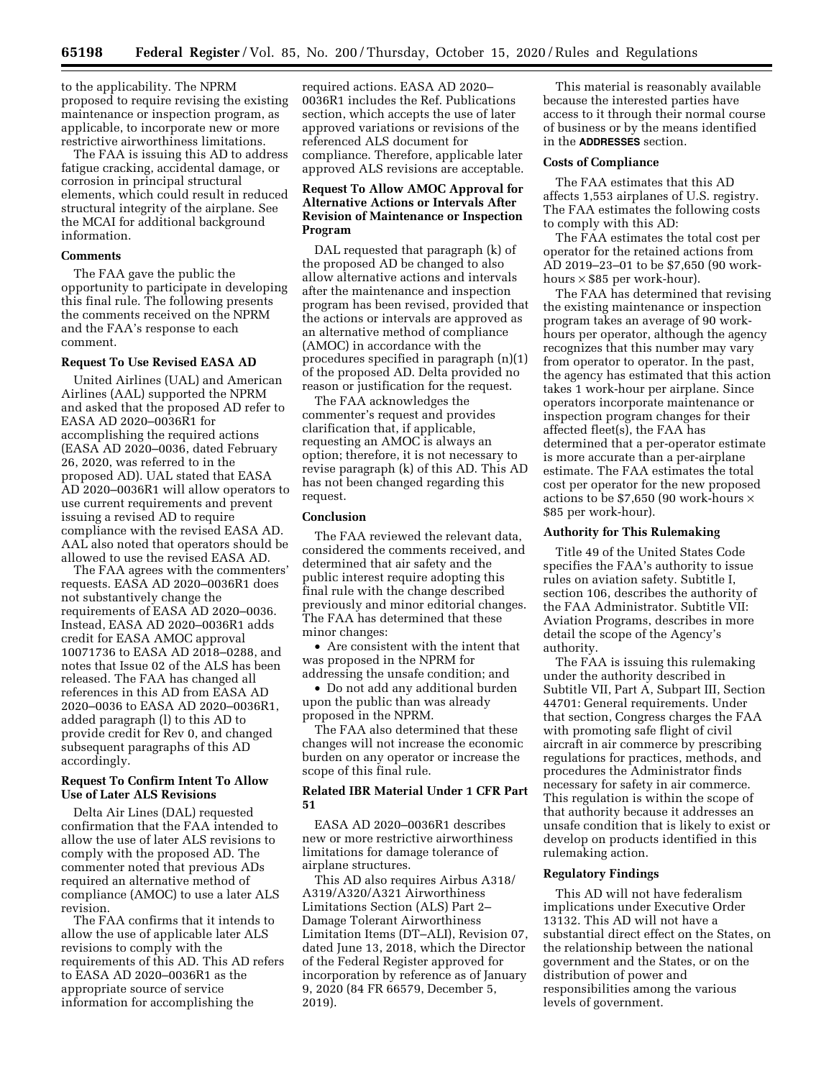to the applicability. The NPRM proposed to require revising the existing maintenance or inspection program, as applicable, to incorporate new or more restrictive airworthiness limitations.

The FAA is issuing this AD to address fatigue cracking, accidental damage, or corrosion in principal structural elements, which could result in reduced structural integrity of the airplane. See the MCAI for additional background information.

#### **Comments**

The FAA gave the public the opportunity to participate in developing this final rule. The following presents the comments received on the NPRM and the FAA's response to each comment.

## **Request To Use Revised EASA AD**

United Airlines (UAL) and American Airlines (AAL) supported the NPRM and asked that the proposed AD refer to EASA AD 2020–0036R1 for accomplishing the required actions (EASA AD 2020–0036, dated February 26, 2020, was referred to in the proposed AD). UAL stated that EASA AD 2020–0036R1 will allow operators to use current requirements and prevent issuing a revised AD to require compliance with the revised EASA AD. AAL also noted that operators should be allowed to use the revised EASA AD.

The FAA agrees with the commenters' requests. EASA AD 2020–0036R1 does not substantively change the requirements of EASA AD 2020–0036. Instead, EASA AD 2020–0036R1 adds credit for EASA AMOC approval 10071736 to EASA AD 2018–0288, and notes that Issue 02 of the ALS has been released. The FAA has changed all references in this AD from EASA AD 2020–0036 to EASA AD 2020–0036R1, added paragraph (l) to this AD to provide credit for Rev 0, and changed subsequent paragraphs of this AD accordingly.

# **Request To Confirm Intent To Allow Use of Later ALS Revisions**

Delta Air Lines (DAL) requested confirmation that the FAA intended to allow the use of later ALS revisions to comply with the proposed AD. The commenter noted that previous ADs required an alternative method of compliance (AMOC) to use a later ALS revision.

The FAA confirms that it intends to allow the use of applicable later ALS revisions to comply with the requirements of this AD. This AD refers to EASA AD 2020–0036R1 as the appropriate source of service information for accomplishing the

required actions. EASA AD 2020– 0036R1 includes the Ref. Publications section, which accepts the use of later approved variations or revisions of the referenced ALS document for compliance. Therefore, applicable later approved ALS revisions are acceptable.

# **Request To Allow AMOC Approval for Alternative Actions or Intervals After Revision of Maintenance or Inspection Program**

DAL requested that paragraph (k) of the proposed AD be changed to also allow alternative actions and intervals after the maintenance and inspection program has been revised, provided that the actions or intervals are approved as an alternative method of compliance (AMOC) in accordance with the procedures specified in paragraph (n)(1) of the proposed AD. Delta provided no reason or justification for the request.

The FAA acknowledges the commenter's request and provides clarification that, if applicable, requesting an AMOC is always an option; therefore, it is not necessary to revise paragraph (k) of this AD. This AD has not been changed regarding this request.

## **Conclusion**

The FAA reviewed the relevant data, considered the comments received, and determined that air safety and the public interest require adopting this final rule with the change described previously and minor editorial changes. The FAA has determined that these minor changes:

• Are consistent with the intent that was proposed in the NPRM for addressing the unsafe condition; and

• Do not add any additional burden upon the public than was already proposed in the NPRM.

The FAA also determined that these changes will not increase the economic burden on any operator or increase the scope of this final rule.

# **Related IBR Material Under 1 CFR Part 51**

EASA AD 2020–0036R1 describes new or more restrictive airworthiness limitations for damage tolerance of airplane structures.

This AD also requires Airbus A318/ A319/A320/A321 Airworthiness Limitations Section (ALS) Part 2– Damage Tolerant Airworthiness Limitation Items (DT–ALI), Revision 07, dated June 13, 2018, which the Director of the Federal Register approved for incorporation by reference as of January 9, 2020 (84 FR 66579, December 5, 2019).

This material is reasonably available because the interested parties have access to it through their normal course of business or by the means identified in the **ADDRESSES** section.

# **Costs of Compliance**

The FAA estimates that this AD affects 1,553 airplanes of U.S. registry. The FAA estimates the following costs to comply with this AD:

The FAA estimates the total cost per operator for the retained actions from AD 2019–23–01 to be \$7,650 (90 workhours  $\times$  \$85 per work-hour).

The FAA has determined that revising the existing maintenance or inspection program takes an average of 90 workhours per operator, although the agency recognizes that this number may vary from operator to operator. In the past, the agency has estimated that this action takes 1 work-hour per airplane. Since operators incorporate maintenance or inspection program changes for their affected fleet(s), the FAA has determined that a per-operator estimate is more accurate than a per-airplane estimate. The FAA estimates the total cost per operator for the new proposed actions to be \$7,650 (90 work-hours  $\times$ \$85 per work-hour).

## **Authority for This Rulemaking**

Title 49 of the United States Code specifies the FAA's authority to issue rules on aviation safety. Subtitle I, section 106, describes the authority of the FAA Administrator. Subtitle VII: Aviation Programs, describes in more detail the scope of the Agency's authority.

The FAA is issuing this rulemaking under the authority described in Subtitle VII, Part A, Subpart III, Section 44701: General requirements. Under that section, Congress charges the FAA with promoting safe flight of civil aircraft in air commerce by prescribing regulations for practices, methods, and procedures the Administrator finds necessary for safety in air commerce. This regulation is within the scope of that authority because it addresses an unsafe condition that is likely to exist or develop on products identified in this rulemaking action.

# **Regulatory Findings**

This AD will not have federalism implications under Executive Order 13132. This AD will not have a substantial direct effect on the States, on the relationship between the national government and the States, or on the distribution of power and responsibilities among the various levels of government.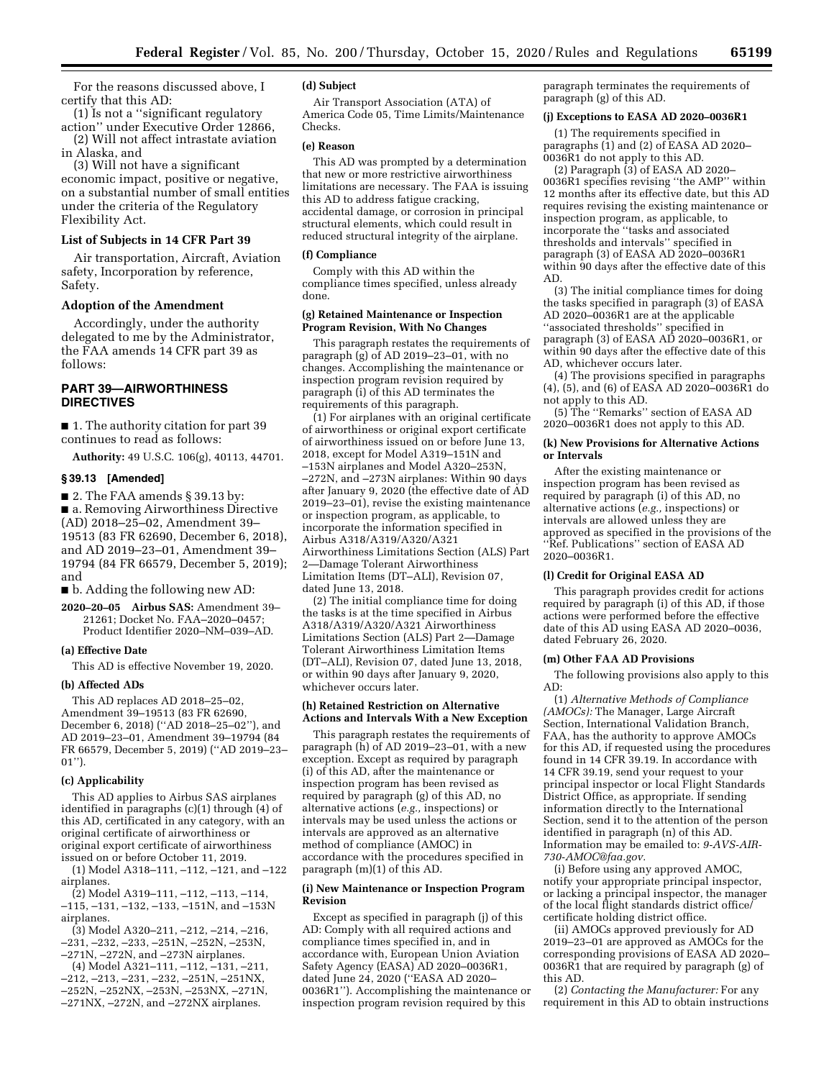For the reasons discussed above, I certify that this AD:

(1) Is not a ''significant regulatory action'' under Executive Order 12866,

(2) Will not affect intrastate aviation in Alaska, and

(3) Will not have a significant economic impact, positive or negative, on a substantial number of small entities under the criteria of the Regulatory Flexibility Act.

## **List of Subjects in 14 CFR Part 39**

Air transportation, Aircraft, Aviation safety, Incorporation by reference, Safety.

## **Adoption of the Amendment**

Accordingly, under the authority delegated to me by the Administrator, the FAA amends 14 CFR part 39 as follows:

# **PART 39—AIRWORTHINESS DIRECTIVES**

■ 1. The authority citation for part 39 continues to read as follows:

**Authority:** 49 U.S.C. 106(g), 40113, 44701.

### **§ 39.13 [Amended]**

 $\blacksquare$  2. The FAA amends § 39.13 by:

■ a. Removing Airworthiness Directive (AD) 2018–25–02, Amendment 39– 19513 (83 FR 62690, December 6, 2018), and AD 2019–23–01, Amendment 39– 19794 (84 FR 66579, December 5, 2019); and

■ b. Adding the following new AD:

**2020–20–05 Airbus SAS:** Amendment 39– 21261; Docket No. FAA–2020–0457; Product Identifier 2020–NM–039–AD.

## **(a) Effective Date**

This AD is effective November 19, 2020.

#### **(b) Affected ADs**

This AD replaces AD 2018–25–02, Amendment 39–19513 (83 FR 62690, December 6, 2018) (''AD 2018–25–02''), and AD 2019–23–01, Amendment 39–19794 (84 FR 66579, December 5, 2019) (''AD 2019–23– 01'').

#### **(c) Applicability**

This AD applies to Airbus SAS airplanes identified in paragraphs (c)(1) through (4) of this AD, certificated in any category, with an original certificate of airworthiness or original export certificate of airworthiness issued on or before October 11, 2019.

(1) Model A318–111, –112, –121, and –122 airplanes.

(2) Model A319–111, –112, –113, –114, –115, –131, –132, –133, –151N, and –153N airplanes.

(3) Model A320–211, –212, –214, –216, –231, –232, –233, –251N, –252N, –253N, –271N, –272N, and –273N airplanes.

(4) Model A321–111, –112, –131, –211, –212, –213, –231, –232, –251N, –251NX, –252N, –252NX, –253N, –253NX, –271N, –271NX, –272N, and –272NX airplanes.

## **(d) Subject**

Air Transport Association (ATA) of America Code 05, Time Limits/Maintenance Checks.

## **(e) Reason**

This AD was prompted by a determination that new or more restrictive airworthiness limitations are necessary. The FAA is issuing this AD to address fatigue cracking, accidental damage, or corrosion in principal structural elements, which could result in reduced structural integrity of the airplane.

### **(f) Compliance**

Comply with this AD within the compliance times specified, unless already done.

## **(g) Retained Maintenance or Inspection Program Revision, With No Changes**

This paragraph restates the requirements of paragraph  $(g)$  of AD 2019–23–01, with no changes. Accomplishing the maintenance or inspection program revision required by paragraph (i) of this AD terminates the requirements of this paragraph.

(1) For airplanes with an original certificate of airworthiness or original export certificate of airworthiness issued on or before June 13, 2018, except for Model A319–151N and –153N airplanes and Model A320–253N, –272N, and –273N airplanes: Within 90 days after January 9, 2020 (the effective date of AD 2019–23–01), revise the existing maintenance or inspection program, as applicable, to incorporate the information specified in Airbus A318/A319/A320/A321 Airworthiness Limitations Section (ALS) Part 2—Damage Tolerant Airworthiness Limitation Items (DT–ALI), Revision 07, dated June 13, 2018.

(2) The initial compliance time for doing the tasks is at the time specified in Airbus A318/A319/A320/A321 Airworthiness Limitations Section (ALS) Part 2—Damage Tolerant Airworthiness Limitation Items (DT–ALI), Revision 07, dated June 13, 2018, or within 90 days after January 9, 2020, whichever occurs later.

#### **(h) Retained Restriction on Alternative Actions and Intervals With a New Exception**

This paragraph restates the requirements of paragraph (h) of AD 2019–23–01, with a new exception. Except as required by paragraph (i) of this AD, after the maintenance or inspection program has been revised as required by paragraph (g) of this AD, no alternative actions (*e.g.,* inspections) or intervals may be used unless the actions or intervals are approved as an alternative method of compliance (AMOC) in accordance with the procedures specified in paragraph (m)(1) of this AD.

## **(i) New Maintenance or Inspection Program Revision**

Except as specified in paragraph (j) of this AD: Comply with all required actions and compliance times specified in, and in accordance with, European Union Aviation Safety Agency (EASA) AD 2020–0036R1, dated June 24, 2020 (''EASA AD 2020– 0036R1''). Accomplishing the maintenance or inspection program revision required by this

paragraph terminates the requirements of paragraph (g) of this AD.

#### **(j) Exceptions to EASA AD 2020–0036R1**

(1) The requirements specified in paragraphs (1) and (2) of EASA AD 2020– 0036R1 do not apply to this AD.

(2) Paragraph (3) of EASA AD 2020– 0036R1 specifies revising ''the AMP'' within 12 months after its effective date, but this AD requires revising the existing maintenance or inspection program, as applicable, to incorporate the ''tasks and associated thresholds and intervals'' specified in paragraph (3) of EASA AD 2020–0036R1 within 90 days after the effective date of this AD.

(3) The initial compliance times for doing the tasks specified in paragraph (3) of EASA AD 2020–0036R1 are at the applicable ''associated thresholds'' specified in paragraph (3) of EASA AD 2020–0036R1, or within 90 days after the effective date of this AD, whichever occurs later.

(4) The provisions specified in paragraphs (4), (5), and (6) of EASA AD 2020–0036R1 do not apply to this AD.

(5) The ''Remarks'' section of EASA AD 2020–0036R1 does not apply to this AD.

## **(k) New Provisions for Alternative Actions or Intervals**

After the existing maintenance or inspection program has been revised as required by paragraph (i) of this AD, no alternative actions (*e.g.,* inspections) or intervals are allowed unless they are approved as specified in the provisions of the ''Ref. Publications'' section of EASA AD 2020–0036R1.

# **(l) Credit for Original EASA AD**

This paragraph provides credit for actions required by paragraph (i) of this AD, if those actions were performed before the effective date of this AD using EASA AD 2020–0036, dated February 26, 2020.

### **(m) Other FAA AD Provisions**

The following provisions also apply to this AD:

(1) *Alternative Methods of Compliance (AMOCs):* The Manager, Large Aircraft Section, International Validation Branch, FAA, has the authority to approve AMOCs for this AD, if requested using the procedures found in 14 CFR 39.19. In accordance with 14 CFR 39.19, send your request to your principal inspector or local Flight Standards District Office, as appropriate. If sending information directly to the International Section, send it to the attention of the person identified in paragraph (n) of this AD. Information may be emailed to: *[9-AVS-AIR-](mailto:9-AVS-AIR-730-AMOC@faa.gov)[730-AMOC@faa.gov.](mailto:9-AVS-AIR-730-AMOC@faa.gov)* 

(i) Before using any approved AMOC, notify your appropriate principal inspector, or lacking a principal inspector, the manager of the local flight standards district office/ certificate holding district office.

(ii) AMOCs approved previously for AD 2019–23–01 are approved as AMOCs for the corresponding provisions of EASA AD 2020– 0036R1 that are required by paragraph (g) of this AD.

(2) *Contacting the Manufacturer:* For any requirement in this AD to obtain instructions